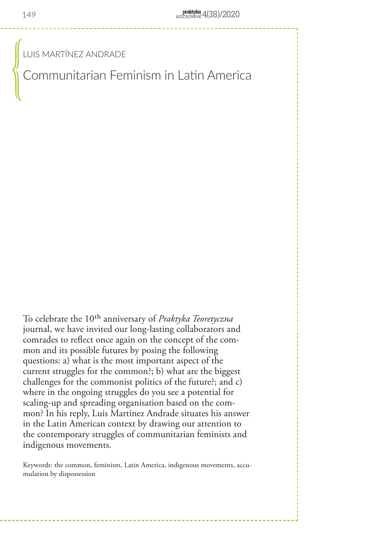LUIS MARTÍNEZ ANDRADE

Communitarian Feminism in Latin America

To celebrate the 10th anniversary of *Praktyka Teoretyczna* journal, we have invited our long-lasting collaborators and comrades to reflect once again on the concept of the common and its possible futures by posing the following questions: a) what is the most important aspect of the current struggles for the common?; b) what are the biggest challenges for the commonist politics of the future?; and c) where in the ongoing struggles do you see a potential for scaling-up and spreading organisation based on the common? In his reply, Luis Martinez Andrade situates his answer in the Latin American context by drawing our attention to the contemporary struggles of communitarian feminists and indigenous movements.

Keywords: the common, feminism, Latin America, indigenous movements, accumulation by dispossession

 $\begin{pmatrix} 0 & 0 & 0 \ 0 & 0 & 0 \end{pmatrix}$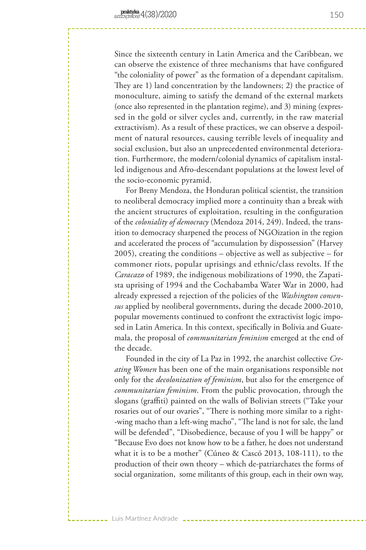Luis Martínez Andrade

Since the sixteenth century in Latin America and the Caribbean, we can observe the existence of three mechanisms that have configured "the coloniality of power" as the formation of a dependant capitalism. They are 1) land concentration by the landowners; 2) the practice of monoculture, aiming to satisfy the demand of the external markets (once also represented in the plantation regime), and 3) mining (expressed in the gold or silver cycles and, currently, in the raw material extractivism). As a result of these practices, we can observe a despoilment of natural resources, causing terrible levels of inequality and social exclusion, but also an unprecedented environmental deterioration. Furthermore, the modern/colonial dynamics of capitalism installed indigenous and Afro-descendant populations at the lowest level of the socio-economic pyramid.

For Breny Mendoza, the Honduran political scientist, the transition to neoliberal democracy implied more a continuity than a break with the ancient structures of exploitation, resulting in the configuration of the *coloniality of democracy* (Mendoza 2014, 249). Indeed, the transition to democracy sharpened the process of NGOization in the region and accelerated the process of "accumulation by dispossession" (Harvey 2005), creating the conditions – objective as well as subjective – for commoner riots, popular uprisings and ethnic/class revolts. If the *Caracazo* of 1989, the indigenous mobilizations of 1990, the Zapatista uprising of 1994 and the Cochabamba Water War in 2000, had already expressed a rejection of the policies of the *Washington consensus* applied by neoliberal governments, during the decade 2000-2010, popular movements continued to confront the extractivist logic imposed in Latin America. In this context, specifically in Bolivia and Guatemala, the proposal of *communitarian feminism* emerged at the end of the decade.

Founded in the city of La Paz in 1992, the anarchist collective *Creating Women* has been one of the main organisations responsible not only for the *decolonization of feminism*, but also for the emergence of *communitarian feminism*. From the public provocation, through the slogans (graffiti) painted on the walls of Bolivian streets ("Take your rosaries out of our ovaries", "There is nothing more similar to a right- -wing macho than a left-wing macho", "The land is not for sale, the land will be defended", "Disobedience, because of you I will be happy" or "Because Evo does not know how to be a father, he does not understand what it is to be a mother" (Cúneo & Cascó 2013, 108-111), to the production of their own theory – which de-patriarchates the forms of social organization, some militants of this group, each in their own way,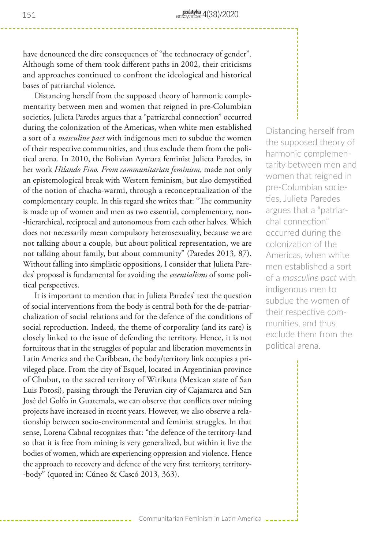have denounced the dire consequences of "the technocracy of gender". Although some of them took different paths in 2002, their criticisms and approaches continued to confront the ideological and historical bases of patriarchal violence.

Distancing herself from the supposed theory of harmonic complementarity between men and women that reigned in pre-Columbian societies, Julieta Paredes argues that a "patriarchal connection" occurred during the colonization of the Americas, when white men established a sort of a *masculine pact* with indigenous men to subdue the women of their respective communities, and thus exclude them from the political arena. In 2010, the Bolivian Aymara feminist Julieta Paredes, in her work *Hilando Fino. From communitarian feminism*, made not only an epistemological break with Western feminism, but also demystified of the notion of chacha-warmi, through a reconceptualization of the complementary couple. In this regard she writes that: "The community is made up of women and men as two essential, complementary, non- -hierarchical, reciprocal and autonomous from each other halves. Which does not necessarily mean compulsory heterosexuality, because we are not talking about a couple, but about political representation, we are not talking about family, but about community" (Paredes 2013, 87). Without falling into simplistic oppositions, I consider that Julieta Paredes' proposal is fundamental for avoiding the *essentialisms* of some political perspectives.

It is important to mention that in Julieta Paredes' text the question of social interventions from the body is central both for the de-patriarchalization of social relations and for the defence of the conditions of social reproduction. Indeed, the theme of corporality (and its care) is closely linked to the issue of defending the territory. Hence, it is not fortuitous that in the struggles of popular and liberation movements in Latin America and the Caribbean, the body/territory link occupies a privileged place. From the city of Esquel, located in Argentinian province of Chubut, to the sacred territory of Wirikuta (Mexican state of San Luis Potosí), passing through the Peruvian city of Cajamarca and San José del Golfo in Guatemala, we can observe that conflicts over mining projects have increased in recent years. However, we also observe a relationship between socio-environmental and feminist struggles. In that sense, Lorena Cabnal recognizes that: "the defence of the territory-land so that it is free from mining is very generalized, but within it live the bodies of women, which are experiencing oppression and violence. Hence the approach to recovery and defence of the very first territory; territory- -body" (quoted in: Cúneo & Cascó 2013, 363).

Distancing herself from the supposed theory of harmonic complementarity between men and women that reigned in pre-Columbian societies, Julieta Paredes argues that a "patriarchal connection" occurred during the colonization of the Americas, when white men established a sort of a *masculine pact* with indigenous men to subdue the women of their respective communities, and thus exclude them from the political arena.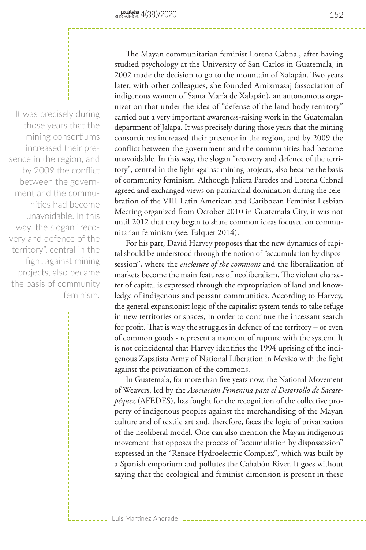It was precisely during those years that the mining consortiums increased their presence in the region, and by 2009 the conflict between the government and the communities had become unavoidable. In this way, the slogan "recovery and defence of the territory", central in the fight against mining projects, also became the basis of community feminism.

The Mayan communitarian feminist Lorena Cabnal, after having studied psychology at the University of San Carlos in Guatemala, in 2002 made the decision to go to the mountain of Xalapán. Two years later, with other colleagues, she founded Amixmasaj (association of indigenous women of Santa María de Xalapán), an autonomous organization that under the idea of "defense of the land-body territory" carried out a very important awareness-raising work in the Guatemalan department of Jalapa. It was precisely during those years that the mining consortiums increased their presence in the region, and by 2009 the conflict between the government and the communities had become unavoidable. In this way, the slogan "recovery and defence of the territory", central in the fight against mining projects, also became the basis of community feminism. Although Julieta Paredes and Lorena Cabnal agreed and exchanged views on patriarchal domination during the celebration of the VIII Latin American and Caribbean Feminist Lesbian Meeting organized from October 2010 in Guatemala City, it was not until 2012 that they began to share common ideas focused on communitarian feminism (see. Falquet 2014).

For his part, David Harvey proposes that the new dynamics of capital should be understood through the notion of "accumulation by dispossession", where the *enclosure of the commons* and the liberalization of markets become the main features of neoliberalism. The violent character of capital is expressed through the expropriation of land and knowledge of indigenous and peasant communities. According to Harvey, the general expansionist logic of the capitalist system tends to take refuge in new territories or spaces, in order to continue the incessant search for profit. That is why the struggles in defence of the territory – or even of common goods - represent a moment of rupture with the system. It is not coincidental that Harvey identifies the 1994 uprising of the indigenous Zapatista Army of National Liberation in Mexico with the fight against the privatization of the commons.

In Guatemala, for more than five years now, the National Movement of Weavers, led by the *Asociación Femenina para el Desarrollo de Sacatepéquez* (AFEDES), has fought for the recognition of the collective property of indigenous peoples against the merchandising of the Mayan culture and of textile art and, therefore, faces the logic of privatization of the neoliberal model. One can also mention the Mayan indigenous movement that opposes the process of "accumulation by dispossession" expressed in the "Renace Hydroelectric Complex", which was built by a Spanish emporium and pollutes the Cahabón River. It goes without saying that the ecological and feminist dimension is present in these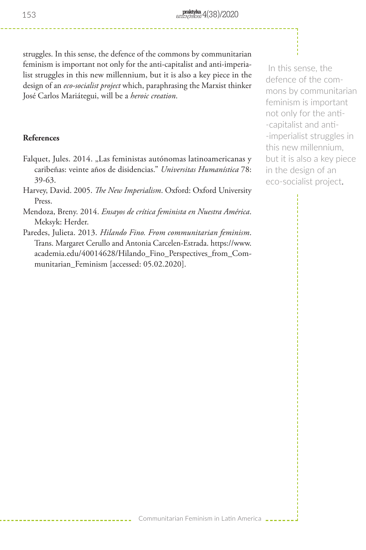struggles. In this sense, the defence of the commons by communitarian feminism is important not only for the anti-capitalist and anti-imperialist struggles in this new millennium, but it is also a key piece in the design of an *eco-socialist project* which, paraphrasing the Marxist thinker José Carlos Mariátegui, will be a *heroic creation*.

## **References**

- Falquet, Jules. 2014. "Las feministas autónomas latinoamericanas y caribeñas: veinte años de disidencias." *Universitas Humanística* 78: 39-63.
- Harvey, David. 2005. *The New Imperialism*. Oxford: Oxford University Press.
- Mendoza, Breny. 2014. *Ensayos de crítica feminista en Nuestra América*. Meksyk: Herder.
- Paredes, Julieta. 2013. *Hilando Fino. From communitarian feminism*. Trans. Margaret Cerullo and Antonia Carcelen-Estrada. https://www. academia.edu/40014628/Hilando\_Fino\_Perspectives\_from\_Communitarian Feminism [accessed: 05.02.2020].

 In this sense, the defence of the commons by communitarian feminism is important not only for the anti- -capitalist and anti- -imperialist struggles in this new millennium, but it is also a key piece in the design of an eco-socialist project.